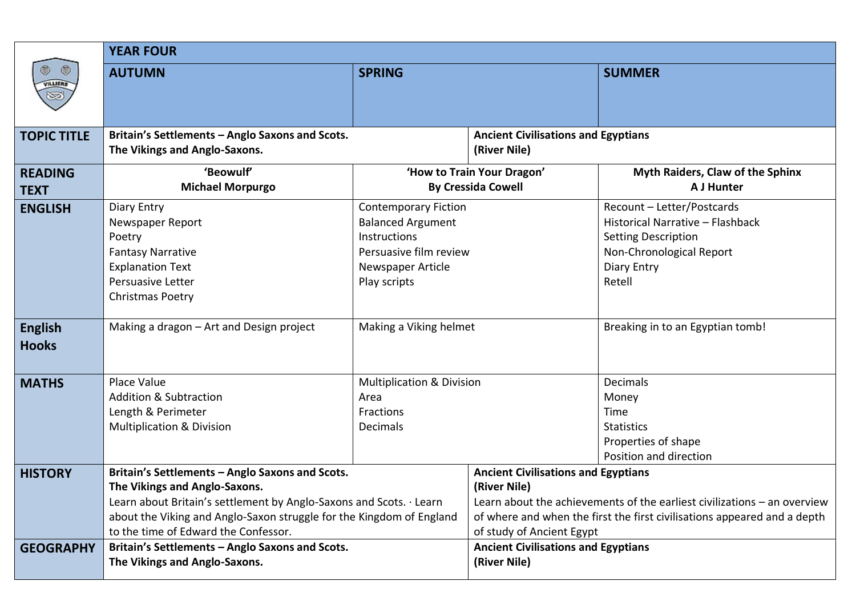|                                | <b>YEAR FOUR</b>                                                                                                                                                                                                                                                        |                                                                                                                                        |                                                                                                                                                                                                                                                 |                                                                                                                                                   |  |  |  |  |
|--------------------------------|-------------------------------------------------------------------------------------------------------------------------------------------------------------------------------------------------------------------------------------------------------------------------|----------------------------------------------------------------------------------------------------------------------------------------|-------------------------------------------------------------------------------------------------------------------------------------------------------------------------------------------------------------------------------------------------|---------------------------------------------------------------------------------------------------------------------------------------------------|--|--|--|--|
| ◎<br>O<br>VILLIERS<br>ಟ        | <b>AUTUMN</b>                                                                                                                                                                                                                                                           | <b>SPRING</b>                                                                                                                          |                                                                                                                                                                                                                                                 | <b>SUMMER</b>                                                                                                                                     |  |  |  |  |
| <b>TOPIC TITLE</b>             | Britain's Settlements - Anglo Saxons and Scots.<br>The Vikings and Anglo-Saxons.                                                                                                                                                                                        |                                                                                                                                        | <b>Ancient Civilisations and Egyptians</b><br>(River Nile)                                                                                                                                                                                      |                                                                                                                                                   |  |  |  |  |
| <b>READING</b><br><b>TEXT</b>  | 'Beowulf'<br><b>Michael Morpurgo</b>                                                                                                                                                                                                                                    |                                                                                                                                        | 'How to Train Your Dragon'<br><b>By Cressida Cowell</b>                                                                                                                                                                                         | Myth Raiders, Claw of the Sphinx<br><b>A J Hunter</b>                                                                                             |  |  |  |  |
| <b>ENGLISH</b>                 | Diary Entry<br>Newspaper Report<br>Poetry<br><b>Fantasy Narrative</b><br><b>Explanation Text</b><br>Persuasive Letter<br>Christmas Poetry                                                                                                                               | <b>Contemporary Fiction</b><br><b>Balanced Argument</b><br>Instructions<br>Persuasive film review<br>Newspaper Article<br>Play scripts |                                                                                                                                                                                                                                                 | Recount - Letter/Postcards<br>Historical Narrative - Flashback<br><b>Setting Description</b><br>Non-Chronological Report<br>Diary Entry<br>Retell |  |  |  |  |
| <b>English</b><br><b>Hooks</b> | Making a dragon - Art and Design project                                                                                                                                                                                                                                | Making a Viking helmet                                                                                                                 |                                                                                                                                                                                                                                                 | Breaking in to an Egyptian tomb!                                                                                                                  |  |  |  |  |
| <b>MATHS</b>                   | Place Value<br><b>Addition &amp; Subtraction</b><br>Length & Perimeter<br><b>Multiplication &amp; Division</b>                                                                                                                                                          | <b>Multiplication &amp; Division</b><br>Area<br>Fractions<br>Decimals                                                                  |                                                                                                                                                                                                                                                 | <b>Decimals</b><br>Money<br>Time<br><b>Statistics</b><br>Properties of shape<br>Position and direction                                            |  |  |  |  |
| <b>HISTORY</b>                 | Britain's Settlements - Anglo Saxons and Scots.<br>The Vikings and Anglo-Saxons.<br>Learn about Britain's settlement by Anglo-Saxons and Scots. · Learn<br>about the Viking and Anglo-Saxon struggle for the Kingdom of England<br>to the time of Edward the Confessor. |                                                                                                                                        | <b>Ancient Civilisations and Egyptians</b><br>(River Nile)<br>Learn about the achievements of the earliest civilizations - an overview<br>of where and when the first the first civilisations appeared and a depth<br>of study of Ancient Egypt |                                                                                                                                                   |  |  |  |  |
| <b>GEOGRAPHY</b>               | Britain's Settlements - Anglo Saxons and Scots.<br>The Vikings and Anglo-Saxons.                                                                                                                                                                                        |                                                                                                                                        | <b>Ancient Civilisations and Egyptians</b><br>(River Nile)                                                                                                                                                                                      |                                                                                                                                                   |  |  |  |  |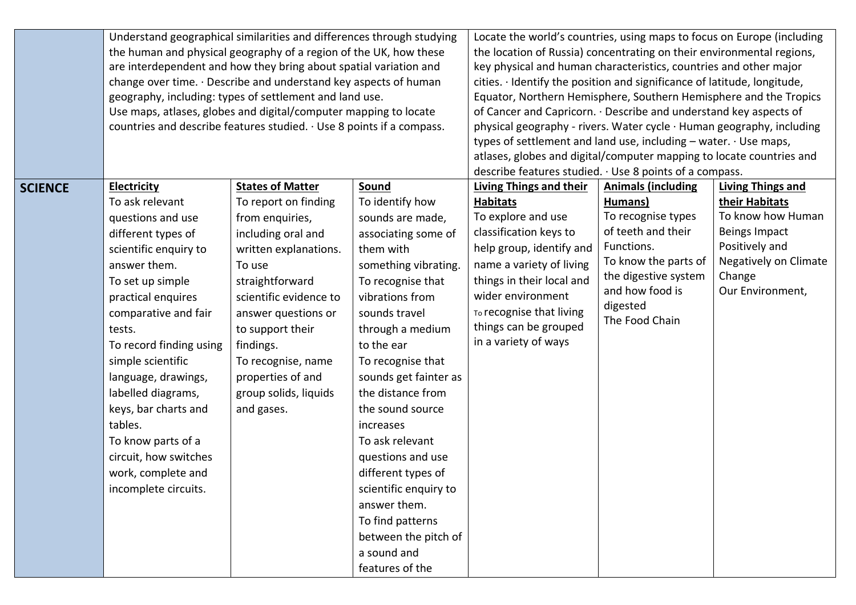|                |                                                                                                                                                                                                            | Understand geographical similarities and differences through studying |                       | Locate the world's countries, using maps to focus on Europe (including<br>the location of Russia) concentrating on their environmental regions,<br>key physical and human characteristics, countries and other major<br>cities. · Identify the position and significance of latitude, longitude, |                           |                          |  |
|----------------|------------------------------------------------------------------------------------------------------------------------------------------------------------------------------------------------------------|-----------------------------------------------------------------------|-----------------------|--------------------------------------------------------------------------------------------------------------------------------------------------------------------------------------------------------------------------------------------------------------------------------------------------|---------------------------|--------------------------|--|
|                | the human and physical geography of a region of the UK, how these                                                                                                                                          |                                                                       |                       |                                                                                                                                                                                                                                                                                                  |                           |                          |  |
|                | are interdependent and how they bring about spatial variation and                                                                                                                                          |                                                                       |                       |                                                                                                                                                                                                                                                                                                  |                           |                          |  |
|                | change over time. · Describe and understand key aspects of human                                                                                                                                           |                                                                       |                       |                                                                                                                                                                                                                                                                                                  |                           |                          |  |
|                | geography, including: types of settlement and land use.<br>Use maps, atlases, globes and digital/computer mapping to locate<br>countries and describe features studied. $\cdot$ Use 8 points if a compass. |                                                                       |                       | Equator, Northern Hemisphere, Southern Hemisphere and the Tropics                                                                                                                                                                                                                                |                           |                          |  |
|                |                                                                                                                                                                                                            |                                                                       |                       | of Cancer and Capricorn. · Describe and understand key aspects of                                                                                                                                                                                                                                |                           |                          |  |
|                |                                                                                                                                                                                                            |                                                                       |                       | physical geography - rivers. Water cycle · Human geography, including<br>types of settlement and land use, including $-$ water. $\cdot$ Use maps,<br>atlases, globes and digital/computer mapping to locate countries and                                                                        |                           |                          |  |
|                |                                                                                                                                                                                                            |                                                                       |                       |                                                                                                                                                                                                                                                                                                  |                           |                          |  |
|                |                                                                                                                                                                                                            |                                                                       |                       |                                                                                                                                                                                                                                                                                                  |                           |                          |  |
|                |                                                                                                                                                                                                            |                                                                       |                       | describe features studied. · Use 8 points of a compass.                                                                                                                                                                                                                                          |                           |                          |  |
| <b>SCIENCE</b> | <b>Electricity</b>                                                                                                                                                                                         | <b>States of Matter</b>                                               | Sound                 | <b>Living Things and their</b>                                                                                                                                                                                                                                                                   | <b>Animals (including</b> | <b>Living Things and</b> |  |
|                | To ask relevant                                                                                                                                                                                            | To report on finding                                                  | To identify how       | <b>Habitats</b>                                                                                                                                                                                                                                                                                  | Humans)                   | their Habitats           |  |
|                | questions and use                                                                                                                                                                                          | from enquiries,                                                       | sounds are made,      | To explore and use                                                                                                                                                                                                                                                                               | To recognise types        | To know how Human        |  |
|                | different types of                                                                                                                                                                                         | including oral and                                                    | associating some of   | classification keys to                                                                                                                                                                                                                                                                           | of teeth and their        | Beings Impact            |  |
|                | scientific enquiry to                                                                                                                                                                                      | written explanations.                                                 | them with             | help group, identify and                                                                                                                                                                                                                                                                         | Functions.                | Positively and           |  |
|                | answer them.                                                                                                                                                                                               | To use                                                                | something vibrating.  | name a variety of living                                                                                                                                                                                                                                                                         | To know the parts of      | Negatively on Climate    |  |
|                | To set up simple                                                                                                                                                                                           | straightforward                                                       | To recognise that     | things in their local and                                                                                                                                                                                                                                                                        | the digestive system      | Change                   |  |
|                | practical enquires                                                                                                                                                                                         | scientific evidence to                                                | vibrations from       | wider environment                                                                                                                                                                                                                                                                                | and how food is           | Our Environment,         |  |
|                | comparative and fair                                                                                                                                                                                       | answer questions or                                                   | sounds travel         | To recognise that living                                                                                                                                                                                                                                                                         | digested                  |                          |  |
|                | tests.                                                                                                                                                                                                     | to support their                                                      | through a medium      | things can be grouped                                                                                                                                                                                                                                                                            | The Food Chain            |                          |  |
|                | To record finding using                                                                                                                                                                                    | findings.                                                             | to the ear            | in a variety of ways                                                                                                                                                                                                                                                                             |                           |                          |  |
|                | simple scientific                                                                                                                                                                                          | To recognise, name                                                    | To recognise that     |                                                                                                                                                                                                                                                                                                  |                           |                          |  |
|                | language, drawings,                                                                                                                                                                                        | properties of and                                                     | sounds get fainter as |                                                                                                                                                                                                                                                                                                  |                           |                          |  |
|                | labelled diagrams,                                                                                                                                                                                         | group solids, liquids                                                 | the distance from     |                                                                                                                                                                                                                                                                                                  |                           |                          |  |
|                | keys, bar charts and                                                                                                                                                                                       | and gases.                                                            | the sound source      |                                                                                                                                                                                                                                                                                                  |                           |                          |  |
|                | tables.                                                                                                                                                                                                    |                                                                       | increases             |                                                                                                                                                                                                                                                                                                  |                           |                          |  |
|                | To know parts of a                                                                                                                                                                                         |                                                                       | To ask relevant       |                                                                                                                                                                                                                                                                                                  |                           |                          |  |
|                | circuit, how switches                                                                                                                                                                                      |                                                                       | questions and use     |                                                                                                                                                                                                                                                                                                  |                           |                          |  |
|                | work, complete and                                                                                                                                                                                         |                                                                       | different types of    |                                                                                                                                                                                                                                                                                                  |                           |                          |  |
|                | incomplete circuits.                                                                                                                                                                                       |                                                                       | scientific enquiry to |                                                                                                                                                                                                                                                                                                  |                           |                          |  |
|                |                                                                                                                                                                                                            |                                                                       | answer them.          |                                                                                                                                                                                                                                                                                                  |                           |                          |  |
|                |                                                                                                                                                                                                            |                                                                       | To find patterns      |                                                                                                                                                                                                                                                                                                  |                           |                          |  |
|                |                                                                                                                                                                                                            |                                                                       | between the pitch of  |                                                                                                                                                                                                                                                                                                  |                           |                          |  |
|                |                                                                                                                                                                                                            |                                                                       | a sound and           |                                                                                                                                                                                                                                                                                                  |                           |                          |  |
|                |                                                                                                                                                                                                            |                                                                       | features of the       |                                                                                                                                                                                                                                                                                                  |                           |                          |  |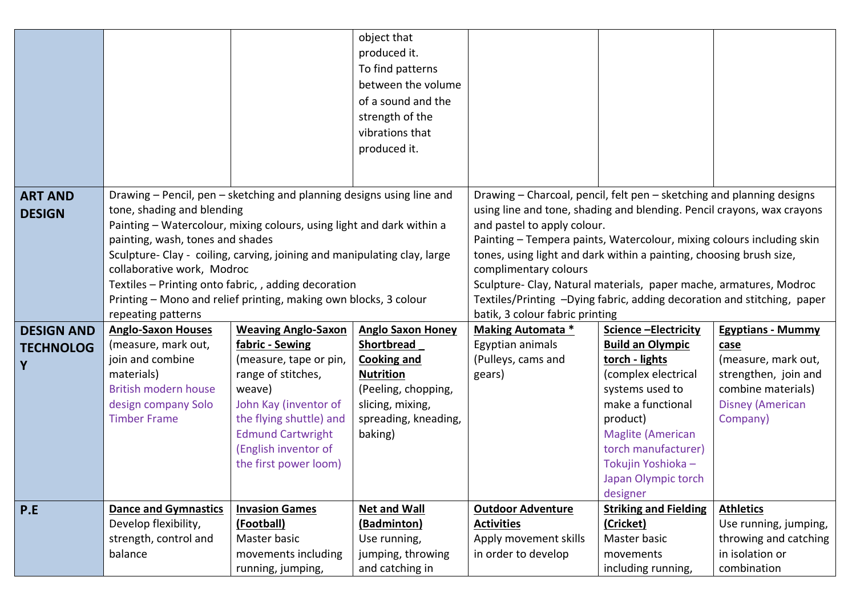|                   |                                                                  |                                                                          | object that<br>produced it.          |                                                                                                                                               |                                      |                                |  |
|-------------------|------------------------------------------------------------------|--------------------------------------------------------------------------|--------------------------------------|-----------------------------------------------------------------------------------------------------------------------------------------------|--------------------------------------|--------------------------------|--|
|                   |                                                                  |                                                                          | To find patterns                     |                                                                                                                                               |                                      |                                |  |
|                   |                                                                  |                                                                          | between the volume                   |                                                                                                                                               |                                      |                                |  |
|                   |                                                                  |                                                                          | of a sound and the                   |                                                                                                                                               |                                      |                                |  |
|                   |                                                                  |                                                                          | strength of the                      |                                                                                                                                               |                                      |                                |  |
|                   |                                                                  |                                                                          | vibrations that                      |                                                                                                                                               |                                      |                                |  |
|                   |                                                                  |                                                                          | produced it.                         |                                                                                                                                               |                                      |                                |  |
|                   |                                                                  |                                                                          |                                      |                                                                                                                                               |                                      |                                |  |
| <b>ART AND</b>    |                                                                  | Drawing - Pencil, pen - sketching and planning designs using line and    |                                      | Drawing - Charcoal, pencil, felt pen - sketching and planning designs                                                                         |                                      |                                |  |
| <b>DESIGN</b>     | tone, shading and blending                                       |                                                                          |                                      | using line and tone, shading and blending. Pencil crayons, wax crayons                                                                        |                                      |                                |  |
|                   |                                                                  | Painting - Watercolour, mixing colours, using light and dark within a    |                                      | and pastel to apply colour.                                                                                                                   |                                      |                                |  |
|                   | painting, wash, tones and shades                                 |                                                                          |                                      | Painting - Tempera paints, Watercolour, mixing colours including skin                                                                         |                                      |                                |  |
|                   |                                                                  | Sculpture- Clay - coiling, carving, joining and manipulating clay, large |                                      | tones, using light and dark within a painting, choosing brush size,                                                                           |                                      |                                |  |
|                   | collaborative work, Modroc                                       |                                                                          |                                      | complimentary colours                                                                                                                         |                                      |                                |  |
|                   | Textiles - Printing onto fabric, , adding decoration             |                                                                          |                                      | Sculpture- Clay, Natural materials, paper mache, armatures, Modroc<br>Textiles/Printing -Dying fabric, adding decoration and stitching, paper |                                      |                                |  |
|                   | Printing - Mono and relief printing, making own blocks, 3 colour |                                                                          |                                      | batik, 3 colour fabric printing                                                                                                               |                                      |                                |  |
|                   | repeating patterns                                               |                                                                          |                                      |                                                                                                                                               |                                      |                                |  |
|                   |                                                                  |                                                                          |                                      |                                                                                                                                               |                                      |                                |  |
| <b>DESIGN AND</b> | <b>Anglo-Saxon Houses</b>                                        | <b>Weaving Anglo-Saxon</b>                                               | <b>Anglo Saxon Honey</b>             | <b>Making Automata *</b>                                                                                                                      | Science - Electricity                | <b>Egyptians - Mummy</b>       |  |
| <b>TECHNOLOG</b>  | (measure, mark out,                                              | fabric - Sewing                                                          | <b>Shortbread</b>                    | Egyptian animals                                                                                                                              | <b>Build an Olympic</b>              | case                           |  |
| Y                 | join and combine                                                 | (measure, tape or pin,                                                   | <b>Cooking and</b>                   | (Pulleys, cams and                                                                                                                            | torch - lights                       | (measure, mark out,            |  |
|                   | materials)                                                       | range of stitches,                                                       | <b>Nutrition</b>                     | gears)                                                                                                                                        | (complex electrical                  | strengthen, join and           |  |
|                   | <b>British modern house</b>                                      | weave)                                                                   | (Peeling, chopping,                  |                                                                                                                                               | systems used to                      | combine materials)             |  |
|                   | design company Solo<br><b>Timber Frame</b>                       | John Kay (inventor of                                                    | slicing, mixing,                     |                                                                                                                                               | make a functional                    | <b>Disney (American</b>        |  |
|                   |                                                                  | the flying shuttle) and                                                  | spreading, kneading,                 |                                                                                                                                               | product)<br><b>Maglite (American</b> | Company)                       |  |
|                   |                                                                  | <b>Edmund Cartwright</b><br>(English inventor of                         | baking)                              |                                                                                                                                               | torch manufacturer)                  |                                |  |
|                   |                                                                  | the first power loom)                                                    |                                      |                                                                                                                                               | Tokujin Yoshioka -                   |                                |  |
|                   |                                                                  |                                                                          |                                      |                                                                                                                                               | Japan Olympic torch                  |                                |  |
|                   |                                                                  |                                                                          |                                      |                                                                                                                                               | designer                             |                                |  |
| P.E               | <b>Dance and Gymnastics</b>                                      | <b>Invasion Games</b>                                                    | <b>Net and Wall</b>                  | <b>Outdoor Adventure</b>                                                                                                                      | <b>Striking and Fielding</b>         | <b>Athletics</b>               |  |
|                   | Develop flexibility,                                             | (Football)                                                               | (Badminton)                          | <b>Activities</b>                                                                                                                             | (Cricket)                            | Use running, jumping,          |  |
|                   | strength, control and                                            | Master basic                                                             | Use running,                         | Apply movement skills                                                                                                                         | Master basic                         | throwing and catching          |  |
|                   | balance                                                          | movements including<br>running, jumping,                                 | jumping, throwing<br>and catching in | in order to develop                                                                                                                           | movements<br>including running,      | in isolation or<br>combination |  |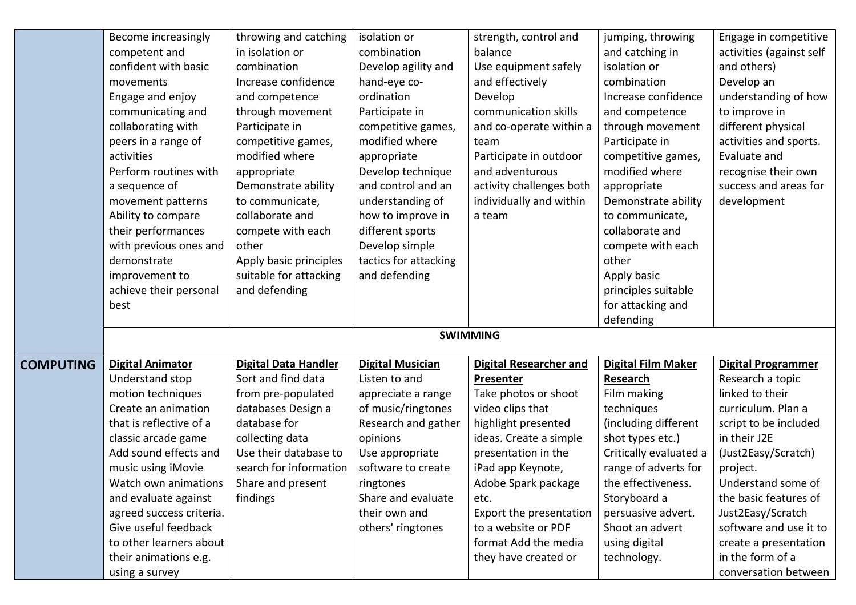|                  | Become increasingly      | throwing and catching       | isolation or            | strength, control and         | jumping, throwing         | Engage in competitive     |
|------------------|--------------------------|-----------------------------|-------------------------|-------------------------------|---------------------------|---------------------------|
|                  | competent and            | in isolation or             | combination             | balance                       | and catching in           | activities (against self  |
|                  | confident with basic     | combination                 | Develop agility and     | Use equipment safely          | isolation or              | and others)               |
|                  | movements                | Increase confidence         | hand-eye co-            | and effectively               | combination               | Develop an                |
|                  | Engage and enjoy         | and competence              | ordination              | Develop                       | Increase confidence       | understanding of how      |
|                  | communicating and        | through movement            | Participate in          | communication skills          | and competence            | to improve in             |
|                  | collaborating with       | Participate in              | competitive games,      | and co-operate within a       | through movement          | different physical        |
|                  | peers in a range of      | competitive games,          | modified where          | team                          | Participate in            | activities and sports.    |
|                  | activities               | modified where              | appropriate             | Participate in outdoor        | competitive games,        | Evaluate and              |
|                  | Perform routines with    | appropriate                 | Develop technique       | and adventurous               | modified where            | recognise their own       |
|                  | a sequence of            | Demonstrate ability         | and control and an      | activity challenges both      | appropriate               | success and areas for     |
|                  | movement patterns        | to communicate,             | understanding of        | individually and within       | Demonstrate ability       | development               |
|                  | Ability to compare       | collaborate and             | how to improve in       | a team                        | to communicate,           |                           |
|                  | their performances       | compete with each           | different sports        |                               | collaborate and           |                           |
|                  | with previous ones and   | other                       | Develop simple          |                               | compete with each         |                           |
|                  | demonstrate              | Apply basic principles      | tactics for attacking   |                               | other                     |                           |
|                  | improvement to           | suitable for attacking      | and defending           |                               | Apply basic               |                           |
|                  | achieve their personal   | and defending               |                         |                               | principles suitable       |                           |
|                  | best                     |                             |                         |                               | for attacking and         |                           |
|                  |                          |                             |                         |                               | defending                 |                           |
|                  |                          |                             |                         | <b>SWIMMING</b>               |                           |                           |
|                  |                          |                             |                         |                               |                           |                           |
| <b>COMPUTING</b> | <b>Digital Animator</b>  | <b>Digital Data Handler</b> | <b>Digital Musician</b> | <b>Digital Researcher and</b> | <b>Digital Film Maker</b> | <b>Digital Programmer</b> |
|                  | Understand stop          | Sort and find data          | Listen to and           | Presenter                     | Research                  | Research a topic          |
|                  | motion techniques        | from pre-populated          | appreciate a range      | Take photos or shoot          | Film making               | linked to their           |
|                  | Create an animation      | databases Design a          | of music/ringtones      | video clips that              | techniques                | curriculum. Plan a        |
|                  | that is reflective of a  | database for                | Research and gather     | highlight presented           | (including different      | script to be included     |
|                  | classic arcade game      | collecting data             | opinions                | ideas. Create a simple        | shot types etc.)          | in their J2E              |
|                  | Add sound effects and    | Use their database to       | Use appropriate         | presentation in the           | Critically evaluated a    | (Just2Easy/Scratch)       |
|                  | music using iMovie       | search for information      | software to create      | iPad app Keynote,             | range of adverts for      | project.                  |
|                  | Watch own animations     | Share and present           | ringtones               | Adobe Spark package           | the effectiveness.        | Understand some of        |
|                  | and evaluate against     | findings                    | Share and evaluate      | etc.                          | Storyboard a              | the basic features of     |
|                  | agreed success criteria. |                             | their own and           | Export the presentation       | persuasive advert.        | Just2Easy/Scratch         |
|                  | Give useful feedback     |                             | others' ringtones       | to a website or PDF           | Shoot an advert           | software and use it to    |
|                  | to other learners about  |                             |                         | format Add the media          | using digital             | create a presentation     |
|                  | their animations e.g.    |                             |                         | they have created or          | technology.               | in the form of a          |
|                  | using a survey           |                             |                         |                               |                           | conversation between      |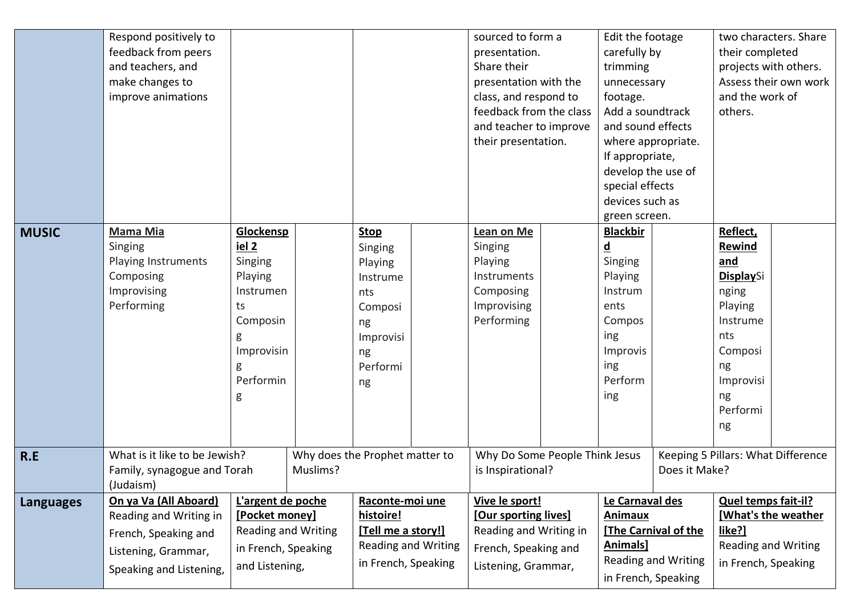|                  | Respond positively to                   |                            |                                |                            |                   | sourced to form a              |               | Edit the footage    |                            |                                    | two characters. Share |
|------------------|-----------------------------------------|----------------------------|--------------------------------|----------------------------|-------------------|--------------------------------|---------------|---------------------|----------------------------|------------------------------------|-----------------------|
|                  | feedback from peers                     |                            |                                |                            |                   | presentation.                  |               | carefully by        |                            | their completed                    |                       |
|                  | and teachers, and                       |                            |                                |                            |                   | Share their                    |               | trimming            |                            | projects with others.              |                       |
|                  | make changes to                         |                            |                                |                            |                   | presentation with the          |               | unnecessary         |                            |                                    | Assess their own work |
|                  | improve animations                      |                            |                                |                            |                   | class, and respond to          |               | footage.            |                            | and the work of                    |                       |
|                  |                                         |                            |                                |                            |                   | feedback from the class        |               | Add a soundtrack    |                            | others.                            |                       |
|                  |                                         |                            |                                |                            |                   | and teacher to improve         |               | and sound effects   |                            |                                    |                       |
|                  |                                         |                            |                                |                            |                   | their presentation.            |               | where appropriate.  |                            |                                    |                       |
|                  |                                         |                            |                                |                            |                   |                                |               | If appropriate,     |                            |                                    |                       |
|                  |                                         |                            |                                |                            |                   |                                |               | develop the use of  |                            |                                    |                       |
|                  |                                         |                            |                                |                            |                   |                                |               | special effects     |                            |                                    |                       |
|                  |                                         |                            |                                |                            |                   |                                |               | devices such as     |                            |                                    |                       |
|                  |                                         |                            |                                |                            |                   |                                |               | green screen.       |                            |                                    |                       |
| <b>MUSIC</b>     | <b>Mama Mia</b>                         | Glockensp                  |                                | <b>Stop</b>                |                   | Lean on Me                     |               | <b>Blackbir</b>     |                            | Reflect,                           |                       |
|                  | Singing                                 | iel <sub>2</sub>           |                                | Singing                    |                   | Singing                        |               | <u>d</u>            |                            | Rewind                             |                       |
|                  | Playing Instruments                     | Singing                    |                                | Playing                    |                   | Playing                        |               | Singing             |                            | and                                |                       |
|                  | Composing                               | Playing                    |                                | Instrume                   |                   | Instruments                    |               | Playing             |                            | <b>DisplaySi</b>                   |                       |
|                  | Improvising                             | Instrumen                  |                                | nts                        |                   | Composing                      |               | Instrum             |                            | nging                              |                       |
|                  | Performing                              | ts                         |                                | Composi                    |                   | Improvising                    |               | ents                |                            | Playing                            |                       |
|                  |                                         | Composin                   |                                | ng                         |                   | Performing                     |               | Compos              |                            | Instrume                           |                       |
|                  |                                         | g                          |                                | Improvisi                  |                   |                                |               | ing                 |                            | nts                                |                       |
|                  |                                         | Improvisin                 |                                | ng                         |                   |                                |               | Improvis            |                            | Composi                            |                       |
|                  |                                         | g                          |                                | Performi                   |                   |                                |               | ing                 |                            | ng                                 |                       |
|                  |                                         | Performin                  |                                | ng                         |                   |                                |               | Perform             |                            | Improvisi                          |                       |
|                  |                                         | g                          |                                |                            |                   |                                |               | ing                 |                            | ng                                 |                       |
|                  |                                         |                            |                                |                            |                   |                                |               |                     |                            | Performi                           |                       |
|                  |                                         |                            |                                |                            |                   |                                |               |                     |                            | ng                                 |                       |
| R.E              | What is it like to be Jewish?           |                            | Why does the Prophet matter to |                            |                   | Why Do Some People Think Jesus |               |                     |                            | Keeping 5 Pillars: What Difference |                       |
|                  | Muslims?<br>Family, synagogue and Torah |                            |                                |                            | is Inspirational? |                                | Does it Make? |                     |                            |                                    |                       |
|                  | (Judaism)                               |                            |                                |                            |                   |                                |               |                     |                            |                                    |                       |
| <b>Languages</b> | On ya Va (All Aboard)                   | L'argent de poche          |                                | Raconte-moi une            |                   | Vive le sport!                 |               | Le Carnaval des     |                            | <b>Quel temps fait-il?</b>         |                       |
|                  | Reading and Writing in                  | [Pocket money]             |                                | histoire!                  |                   | [Our sporting lives]           |               | <b>Animaux</b>      |                            |                                    | [What's the weather   |
|                  | French, Speaking and                    | <b>Reading and Writing</b> |                                | [Tell me a story!]         |                   | Reading and Writing in         |               |                     | [The Carnival of the       | like?]                             |                       |
|                  | Listening, Grammar,                     | in French, Speaking        |                                | <b>Reading and Writing</b> |                   | French, Speaking and           |               | <b>Animals</b>      |                            | Reading and Writing                |                       |
|                  | Speaking and Listening,                 | and Listening,             |                                | in French, Speaking        |                   | Listening, Grammar,            |               |                     | <b>Reading and Writing</b> | in French, Speaking                |                       |
|                  |                                         |                            |                                |                            |                   |                                |               | in French, Speaking |                            |                                    |                       |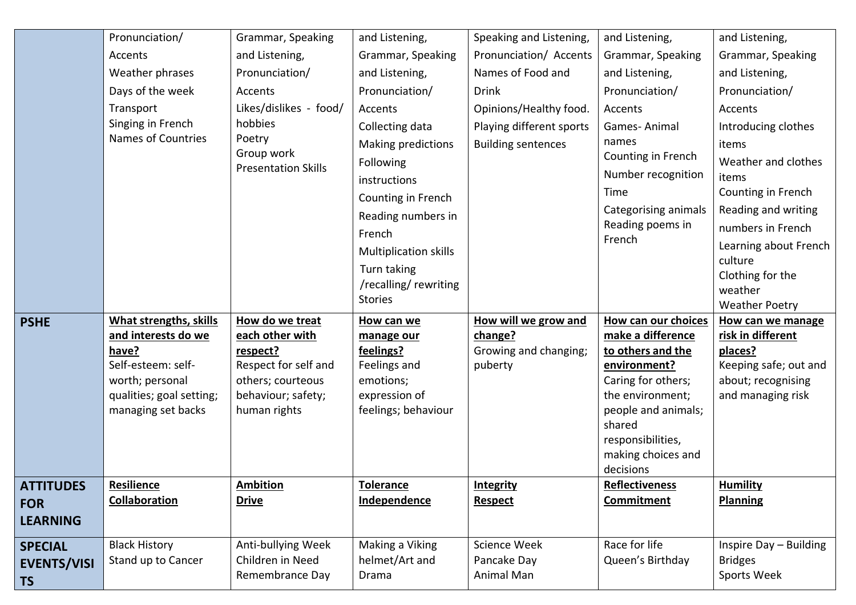|                    | Pronunciation/                | Grammar, Speaking                | and Listening,               | Speaking and Listening,          | and Listening,                          | and Listening,                   |
|--------------------|-------------------------------|----------------------------------|------------------------------|----------------------------------|-----------------------------------------|----------------------------------|
|                    | Accents                       | and Listening,                   | Grammar, Speaking            | Pronunciation/ Accents           | Grammar, Speaking                       | Grammar, Speaking                |
|                    | Weather phrases               | Pronunciation/                   | and Listening,               | Names of Food and                | and Listening,                          | and Listening,                   |
|                    | Days of the week              | Accents                          | Pronunciation/               | <b>Drink</b>                     | Pronunciation/                          | Pronunciation/                   |
|                    | Transport                     | Likes/dislikes - food/           | Accents                      | Opinions/Healthy food.           | Accents                                 | Accents                          |
|                    | Singing in French             | hobbies                          | Collecting data              | Playing different sports         | Games-Animal                            | Introducing clothes              |
|                    | Names of Countries            | Poetry<br>Group work             | Making predictions           | <b>Building sentences</b>        | names                                   | items                            |
|                    |                               | <b>Presentation Skills</b>       | Following                    |                                  | Counting in French                      | Weather and clothes              |
|                    |                               |                                  | instructions                 |                                  | Number recognition                      | items                            |
|                    |                               |                                  | Counting in French           |                                  | Time                                    | Counting in French               |
|                    |                               |                                  | Reading numbers in           |                                  | Categorising animals                    | Reading and writing              |
|                    |                               |                                  | French                       |                                  | Reading poems in<br>French              | numbers in French                |
|                    |                               |                                  | <b>Multiplication skills</b> |                                  |                                         | Learning about French            |
|                    |                               |                                  | Turn taking                  |                                  |                                         | culture<br>Clothing for the      |
|                    |                               |                                  | /recalling/rewriting         |                                  |                                         | weather                          |
|                    |                               |                                  | <b>Stories</b>               |                                  |                                         | <b>Weather Poetry</b>            |
| <b>PSHE</b>        | <b>What strengths, skills</b> | How do we treat                  | How can we                   | How will we grow and             | How can our choices                     | How can we manage                |
|                    | and interests do we           | each other with                  | manage our                   | change?                          | make a difference                       | risk in different                |
|                    | have?<br>Self-esteem: self-   | respect?<br>Respect for self and | feelings?<br>Feelings and    | Growing and changing;<br>puberty | to others and the<br>environment?       | places?<br>Keeping safe; out and |
|                    | worth; personal               | others; courteous                | emotions;                    |                                  | Caring for others;                      | about; recognising               |
|                    | qualities; goal setting;      | behaviour; safety;               | expression of                |                                  | the environment;                        | and managing risk                |
|                    | managing set backs            | human rights                     | feelings; behaviour          |                                  | people and animals;                     |                                  |
|                    |                               |                                  |                              |                                  | shared                                  |                                  |
|                    |                               |                                  |                              |                                  | responsibilities,<br>making choices and |                                  |
|                    |                               |                                  |                              |                                  | decisions                               |                                  |
| <b>ATTITUDES</b>   | <b>Resilience</b>             | <b>Ambition</b>                  | <b>Tolerance</b>             | <b>Integrity</b>                 | <b>Reflectiveness</b>                   | <b>Humility</b>                  |
| <b>FOR</b>         | <b>Collaboration</b>          | <b>Drive</b>                     | Independence                 | <b>Respect</b>                   | Commitment                              | <b>Planning</b>                  |
| <b>LEARNING</b>    |                               |                                  |                              |                                  |                                         |                                  |
| <b>SPECIAL</b>     | <b>Black History</b>          | Anti-bullying Week               | Making a Viking              | Science Week                     | Race for life                           | Inspire Day - Building           |
| <b>EVENTS/VISI</b> | Stand up to Cancer            | Children in Need                 | helmet/Art and               | Pancake Day                      | Queen's Birthday                        | <b>Bridges</b>                   |
| <b>TS</b>          |                               | Remembrance Day                  | Drama                        | Animal Man                       |                                         | Sports Week                      |
|                    |                               |                                  |                              |                                  |                                         |                                  |